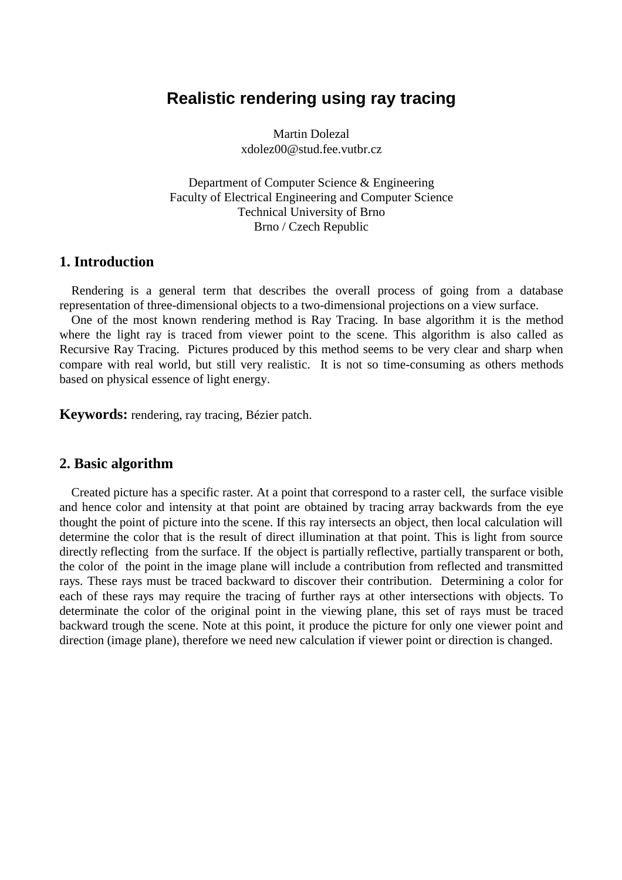# **Realistic rendering using ray tracing**

Martin Dolezal xdolez00@stud.fee.vutbr.cz

Department of Computer Science & Engineering Faculty of Electrical Engineering and Computer Science Technical University of Brno Brno / Czech Republic

#### **1. Introduction**

Rendering is a general term that describes the overall process of going from a database representation of three-dimensional objects to a two-dimensional projections on a view surface.

One of the most known rendering method is Ray Tracing. In base algorithm it is the method where the light ray is traced from viewer point to the scene. This algorithm is also called as Recursive Ray Tracing. Pictures produced by this method seems to be very clear and sharp when compare with real world, but still very realistic. It is not so time-consuming as others methods based on physical essence of light energy.

**Keywords:** rendering, ray tracing, Bézier patch.

#### **2. Basic algorithm**

Created picture has a specific raster. At a point that correspond to a raster cell, the surface visible and hence color and intensity at that point are obtained by tracing array backwards from the eye thought the point of picture into the scene. If this ray intersects an object, then local calculation will determine the color that is the result of direct illumination at that point. This is light from source directly reflecting from the surface. If the object is partially reflective, partially transparent or both, the color of the point in the image plane will include a contribution from reflected and transmitted rays. These rays must be traced backward to discover their contribution. Determining a color for each of these rays may require the tracing of further rays at other intersections with objects. To determinate the color of the original point in the viewing plane, this set of rays must be traced backward trough the scene. Note at this point, it produce the picture for only one viewer point and direction (image plane), therefore we need new calculation if viewer point or direction is changed.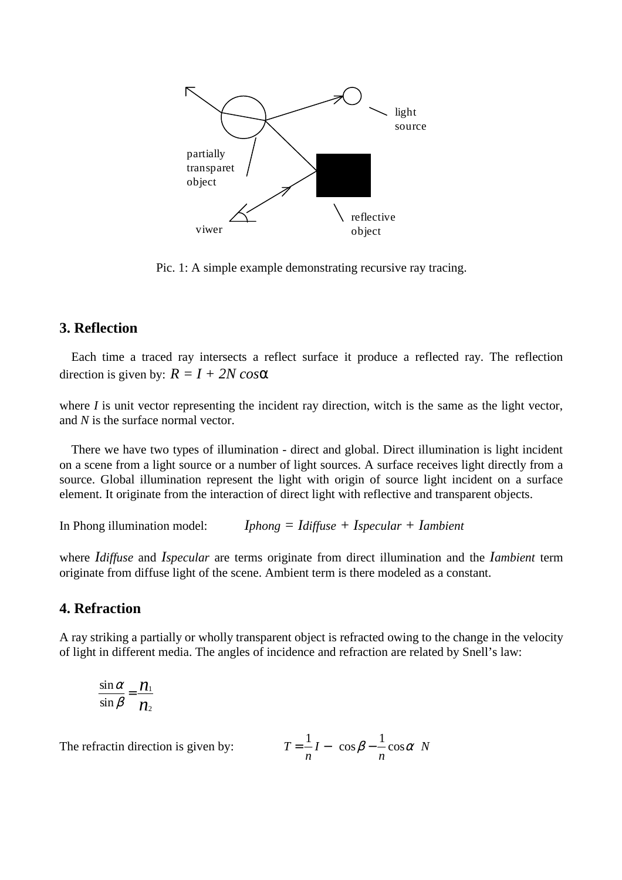

Pic. 1: A simple example demonstrating recursive ray tracing.

## **3. Reflection**

Each time a traced ray intersects a reflect surface it produce a reflected ray. The reflection direction is given by:  $R = I + 2N \cos \alpha$ 

where *I* is unit vector representing the incident ray direction, witch is the same as the light vector, and *N* is the surface normal vector.

There we have two types of illumination - direct and global. Direct illumination is light incident on a scene from a light source or a number of light sources. A surface receives light directly from a source. Global illumination represent the light with origin of source light incident on a surface element. It originate from the interaction of direct light with reflective and transparent objects.

In Phong illumination model: *Iphong = Idiffuse + Ispecular + Iambient*

where *Idiffuse* and *Ispecular* are terms originate from direct illumination and the *Iambient* term originate from diffuse light of the scene. Ambient term is there modeled as a constant.

#### **4. Refraction**

A ray striking a partially or wholly transparent object is refracted owing to the change in the velocity of light in different media. The angles of incidence and refraction are related by Snell's law:

$$
\frac{\sin \alpha}{\sin \beta} = \frac{n_1}{n_2}
$$

The refractin direction is given by:

$$
T = \frac{1}{n}I - \left(\cos\beta - \frac{1}{n}\cos\alpha\right)N
$$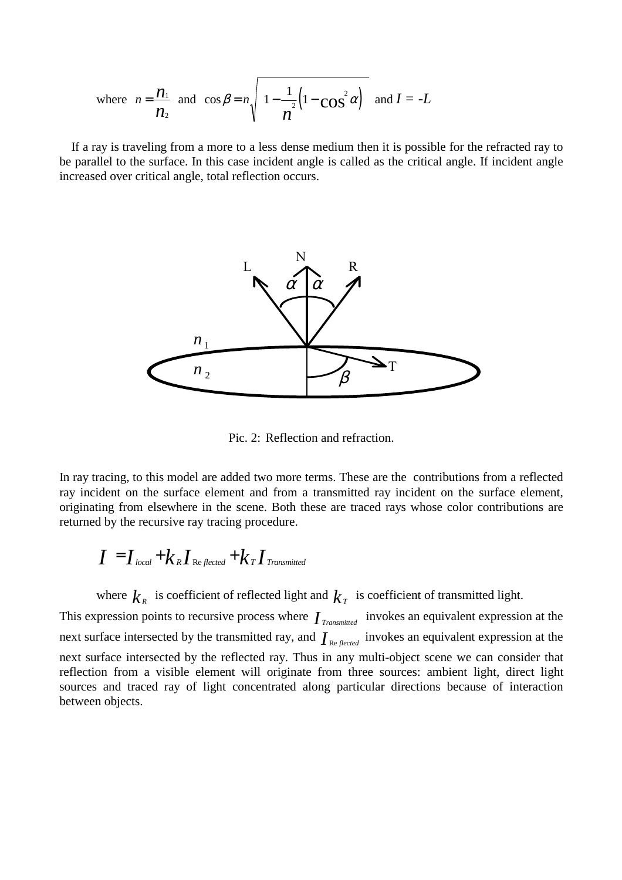where 
$$
n = \frac{n_1}{n_2}
$$
 and  $\cos \beta = n \sqrt{1 - \frac{1}{n^2} (1 - \cos^2 \alpha)} \text{ and } I = -L$ 

If a ray is traveling from a more to a less dense medium then it is possible for the refracted ray to be parallel to the surface. In this case incident angle is called as the critical angle. If incident angle increased over critical angle, total reflection occurs.



Pic. 2: Reflection and refraction.

In ray tracing, to this model are added two more terms. These are the contributions from a reflected ray incident on the surface element and from a transmitted ray incident on the surface element, originating from elsewhere in the scene. Both these are traced rays whose color contributions are returned by the recursive ray tracing procedure.

$$
I = Ilocal + kRIreflected + kTITransmitted
$$

where  $k_{R}$  is coefficient of reflected light and  $k_{T}$  is coefficient of transmitted light.

This expression points to recursive process where *I Transmitted* invokes an equivalent expression at the next surface intersected by the transmitted ray, and  $I_{\text{Re} \text{flected}}$  invokes an equivalent expression at the next surface intersected by the reflected ray. Thus in any multi-object scene we can consider that reflection from a visible element will originate from three sources: ambient light, direct light sources and traced ray of light concentrated along particular directions because of interaction between objects.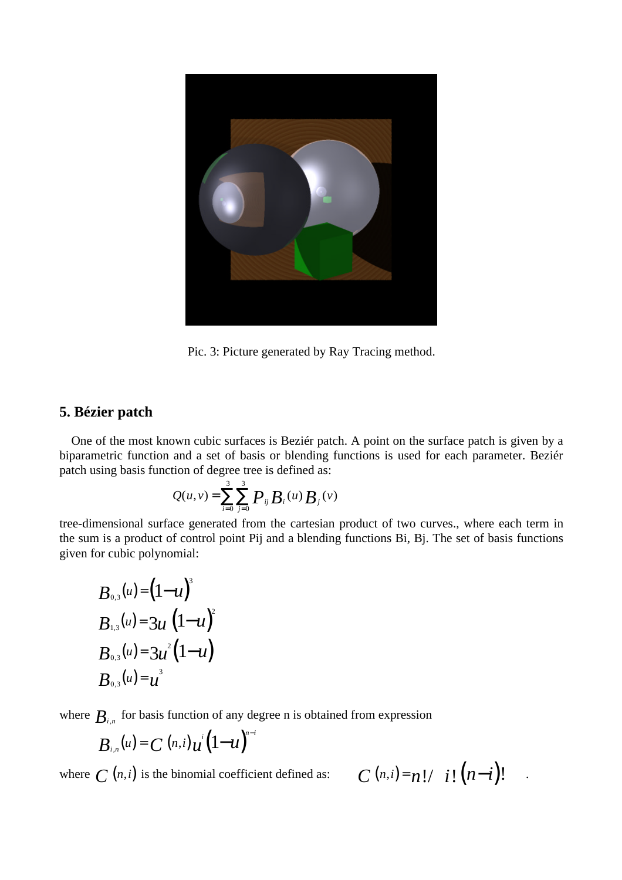

Pic. 3: Picture generated by Ray Tracing method.

## **5. Bézier patch**

One of the most known cubic surfaces is Beziér patch. A point on the surface patch is given by a biparametric function and a set of basis or blending functions is used for each parameter. Beziér patch using basis function of degree tree is defined as:

$$
Q(u,v) = \sum_{i=0}^{3} \sum_{j=0}^{3} P_{ij} B_i(u) B_j(v)
$$

tree-dimensional surface generated from the cartesian product of two curves., where each term in the sum is a product of control point Pij and a blending functions Bi, Bj. The set of basis functions given for cubic polynomial:

$$
B_{0,3}(u) = (1-u)^{3}
$$
  
\n
$$
B_{1,3}(u) = 3u (1-u)^{2}
$$
  
\n
$$
B_{0,3}(u) = 3u^{2}(1-u)
$$
  
\n
$$
B_{0,3}(u) = u^{3}
$$

where  $B_{i,n}$  for basis function of any degree n is obtained from expression

$$
B_{i,n}(u) = C(n,i)u^{i}(1-u)^{n-i}
$$

where  $C(n,i)$  is the binomial coefficient defined as:

$$
C^{(n,i)=n!/\left(i!\left(n-i\right)!\right)}.
$$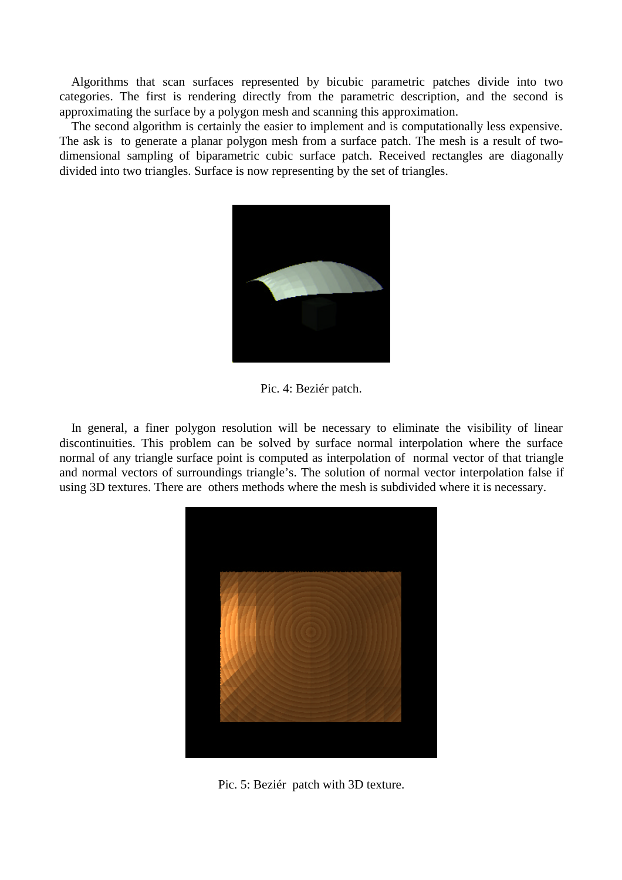Algorithms that scan surfaces represented by bicubic parametric patches divide into two categories. The first is rendering directly from the parametric description, and the second is approximating the surface by a polygon mesh and scanning this approximation.

The second algorithm is certainly the easier to implement and is computationally less expensive. The ask is to generate a planar polygon mesh from a surface patch. The mesh is a result of twodimensional sampling of biparametric cubic surface patch. Received rectangles are diagonally divided into two triangles. Surface is now representing by the set of triangles.



Pic. 4: Beziér patch.

In general, a finer polygon resolution will be necessary to eliminate the visibility of linear discontinuities. This problem can be solved by surface normal interpolation where the surface normal of any triangle surface point is computed as interpolation of normal vector of that triangle and normal vectors of surroundings triangle's. The solution of normal vector interpolation false if using 3D textures. There are others methods where the mesh is subdivided where it is necessary.



Pic. 5: Beziér patch with 3D texture.